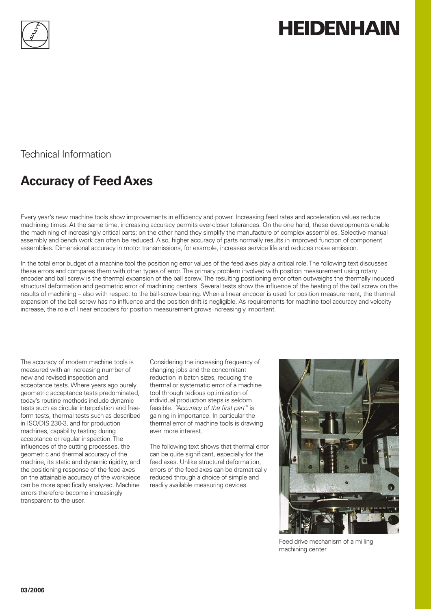

# **HEIDENHAIN**

Technical Information

## **Accuracy of Feed Axes**

Every year's new machine tools show improvements in efficiency and power. Increasing feed rates and acceleration values reduce machining times. At the same time, increasing accuracy permits ever-closer tolerances. On the one hand, these developments enable the machining of increasingly critical parts; on the other hand they simplify the manufacture of complex assemblies. Selective manual assembly and bench work can often be reduced. Also, higher accuracy of parts normally results in improved function of component assemblies. Dimensional accuracy in motor transmissions, for example, increases service life and reduces noise emission.

In the total error budget of a machine tool the positioning error values of the feed axes play a critical role. The following text discusses these errors and compares them with other types of error. The primary problem involved with position measurement using rotary encoder and ball screw is the thermal expansion of the ball screw. The resulting positioning error often outweighs the thermally induced structural deformation and geometric error of machining centers. Several tests show the influence of the heating of the ball screw on the results of machining – also with respect to the ball-screw bearing. When a linear encoder is used for position measurement, the thermal expansion of the ball screw has no influence and the position drift is negligible. As requirements for machine tool accuracy and velocity increase, the role of linear encoders for position measurement grows increasingly important.

The accuracy of modern machine tools is measured with an increasing number of new and revised inspection and acceptance tests. Where years ago purely geometric acceptance tests predominated, today's routine methods include dynamic tests such as circular interpolation and freeform tests, thermal tests such as described in ISO/DIS 230-3, and for production machines, capability testing during acceptance or regular inspection. The influences of the cutting processes, the geometric and thermal accuracy of the machine, its static and dynamic rigidity, and the positioning response of the feed axes on the attainable accuracy of the workpiece can be more specifically analyzed. Machine errors therefore become increasingly transparent to the user.

Considering the increasing frequency of changing jobs and the concomitant reduction in batch sizes, reducing the thermal or systematic error of a machine tool through tedious optimization of individual production steps is seldom feasible. *"Accuracy of the first part"* is gaining in importance. In particular the thermal error of machine tools is drawing ever more interest.

The following text shows that thermal error can be quite significant, especially for the feed axes. Unlike structural deformation, errors of the feed axes can be dramatically reduced through a choice of simple and readily available measuring devices.



Feed drive mechanism of a milling machining center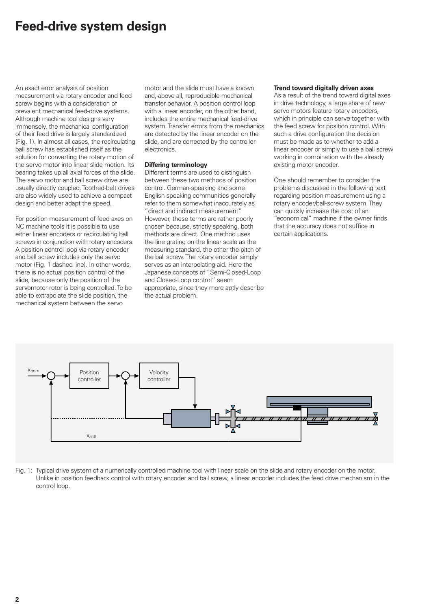### **Feed-drive system design**

An exact error analysis of position measurement via rotary encoder and feed screw begins with a consideration of prevalent mechanical feed-drive systems. Although machine tool designs vary immensely, the mechanical configuration of their feed drive is largely standardized (Fig. 1). In almost all cases, the recirculating ball screw has established itself as the solution for converting the rotary motion of the servo motor into linear slide motion. Its bearing takes up all axial forces of the slide. The servo motor and ball screw drive are usually directly coupled. Toothed-belt drives are also widely used to achieve a compact design and better adapt the speed.

For position measurement of feed axes on NC machine tools it is possible to use either linear encoders or recirculating ball screws in conjunction with rotary encoders. A position control loop via rotary encoder and ball screw includes only the servo motor (Fig. 1 dashed line). In other words, there is no actual position control of the slide, because only the position of the servomotor rotor is being controlled. To be able to extrapolate the slide position, the mechanical system between the servo

motor and the slide must have a known and, above all, reproducible mechanical transfer behavior. A position control loop with a linear encoder, on the other hand, includes the entire mechanical feed-drive system. Transfer errors from the mechanics are detected by the linear encoder on the slide, and are corrected by the controller electronics.

### **Differing terminology**

Different terms are used to distinguish between these two methods of position control. German-speaking and some English-speaking communities generally refer to them somewhat inaccurately as "direct and indirect measurement." However, these terms are rather poorly chosen because, strictly speaking, both methods are direct. One method uses the line grating on the linear scale as the measuring standard, the other the pitch of the ball screw. The rotary encoder simply serves as an interpolating aid. Here the Japanese concepts of "Semi-Closed-Loop and Closed-Loop control" seem appropriate, since they more aptly describe the actual problem.

#### **Trend toward digitally driven axes**

As a result of the trend toward digital axes in drive technology, a large share of new servo motors feature rotary encoders, which in principle can serve together with the feed screw for position control. With such a drive configuration the decision must be made as to whether to add a linear encoder or simply to use a ball screw working in combination with the already existing motor encoder.

One should remember to consider the problems discussed in the following text regarding position measurement using a rotary encoder/ball-screw system. They can quickly increase the cost of an "economical" machine if the owner finds that the accuracy does not suffice in certain applications.



Fig. 1: Typical drive system of a numerically controlled machine tool with linear scale on the slide and rotary encoder on the motor. Unlike in position feedback control with rotary encoder and ball screw, a linear encoder includes the feed drive mechanism in the control loop.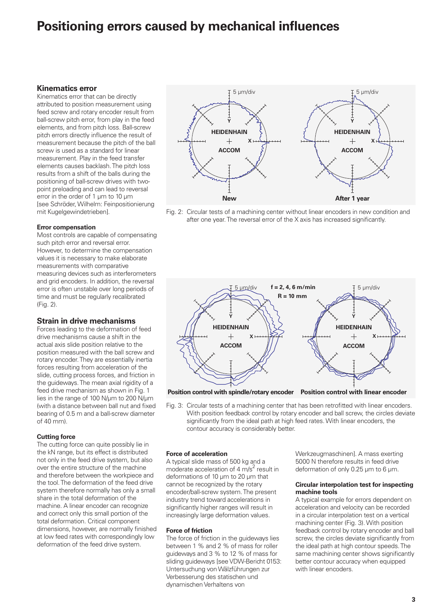### **Positioning errors caused by mechanical influences**

### **Kinematics error**

Kinematics error that can be directly attributed to position measurement using feed screw and rotary encoder result from ball-screw pitch error, from play in the feed elements, and from pitch loss. Ball-screw pitch errors directly influence the result of measurement because the pitch of the ball screw is used as a standard for linear measurement. Play in the feed transfer elements causes backlash. The pitch loss results from a shift of the balls during the positioning of ball-screw drives with twopoint preloading and can lead to reversal error in the order of 1 µm to 10 µm [see Schröder, Wilhelm: Feinpositionierung mit Kugelgewindetrieben].

### **Error compensation**

Most controls are capable of compensating such pitch error and reversal error. However, to determine the compensation values it is necessary to make elaborate measurements with comparative measuring devices such as interferometers and grid encoders. In addition, the reversal error is often unstable over long periods of time and must be regularly recalibrated (Fig. 2).

### **Strain in drive mechanisms**

Forces leading to the deformation of feed drive mechanisms cause a shift in the actual axis slide position relative to the position measured with the ball screw and rotary encoder. They are essentially inertia forces resulting from acceleration of the slide, cutting process forces, and friction in the guideways. The mean axial rigidity of a feed drive mechanism as shown in Fig. 1 lies in the range of 100 N/µm to 200 N/µm (with a distance between ball nut and fixed bearing of 0.5 m and a ball-screw diameter of 40 mm).

#### **Cutting force**

The cutting force can quite possibly lie in the kN range, but its effect is distributed not only in the feed drive system, but also over the entire structure of the machine and therefore between the workpiece and the tool. The deformation of the feed drive system therefore normally has only a small share in the total deformation of the machine. A linear encoder can recognize and correct only this small portion of the total deformation. Critical component dimensions, however, are normally finished at low feed rates with correspondingly low deformation of the feed drive system.







**Position control with spindle/rotary encoder Position control with linear encoder**

Fig. 3: Circular tests of a machining center that has been retrofitted with linear encoders. With position feedback control by rotary encoder and ball screw, the circles deviate significantly from the ideal path at high feed rates. With linear encoders, the contour accuracy is considerably better.

#### **Force of acceleration**

A typical slide mass of 500 kg and a moderate acceleration of 4  $\widetilde{m/s}^2$  result in deformations of 10 µm to 20 µm that cannot be recognized by the rotary encoder/ball-screw system. The present industry trend toward accelerations in significantly higher ranges will result in increasingly large deformation values.

#### **Force of friction**

The force of friction in the guideways lies between 1 % and 2 % of mass for roller guideways and 3 % to 12 % of mass for sliding guideways [see VDW-Bericht 0153: Untersuchung von Wälzführungen zur Verbesserung des statischen und dynamischen Verhaltens von

Werkzeugmaschinen]. A mass exerting 5000 N therefore results in feed drive deformation of only 0.25 µm to 6 µm.

#### **Circular interpolation test for inspecting machine tools**

A typical example for errors dependent on acceleration and velocity can be recorded in a circular interpolation test on a vertical machining center (Fig. 3). With position feedback control by rotary encoder and ball screw, the circles deviate significantly from the ideal path at high contour speeds. The same machining center shows significantly better contour accuracy when equipped with linear encoders.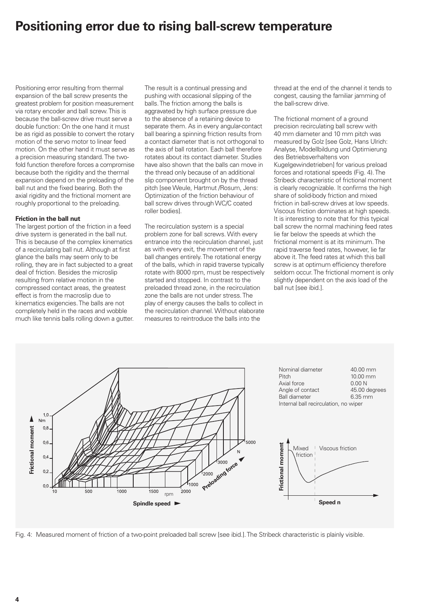### **Positioning error due to rising ball-screw temperature**

Positioning error resulting from thermal expansion of the ball screw presents the greatest problem for position measurement via rotary encoder and ball screw. This is because the ball-screw drive must serve a double function: On the one hand it must be as rigid as possible to convert the rotary motion of the servo motor to linear feed motion. On the other hand it must serve as a precision measuring standard. The twofold function therefore forces a compromise because both the rigidity and the thermal expansion depend on the preloading of the ball nut and the fixed bearing. Both the axial rigidity and the frictional moment are roughly proportional to the preloading.

### **Friction in the ball nut**

The largest portion of the friction in a feed drive system is generated in the ball nut. This is because of the complex kinematics of a recirculating ball nut. Although at first glance the balls may seem only to be rolling, they are in fact subjected to a great deal of friction. Besides the microslip resulting from relative motion in the compressed contact areas, the greatest effect is from the macroslip due to kinematics exigencies. The balls are not completely held in the races and wobble much like tennis balls rolling down a gutter. The result is a continual pressing and pushing with occasional slipping of the balls. The friction among the balls is aggravated by high surface pressure due to the absence of a retaining device to separate them. As in every angular-contact ball bearing a spinning friction results from a contact diameter that is not orthogonal to the axis of ball rotation. Each ball therefore rotates about its contact diameter. Studies have also shown that the balls can move in the thread only because of an additional slip component brought on by the thread pitch [seeWeule, Hartmut /Rosum, Jens: Optimization of the friction behaviour of ball screw drives through WC/C coated roller bodies].

The recirculation system is a special problem zone for ball screws. With every entrance into the recirculation channel, just as with every exit, the movement of the ball changes entirely. The rotational energy of the balls, which in rapid traverse typically rotate with 8000 rpm, must be respectively started and stopped. In contrast to the preloaded thread zone, in the recirculation zone the balls are not under stress. The play of energy causes the balls to collect in the recirculation channel. Without elaborate measures to reintroduce the balls into the

thread at the end of the channel it tends to congest, causing the familiar jamming of the ball-screw drive.

The frictional moment of a ground precision recirculating ball screw with 40 mm diameter and 10 mm pitch was measured by Golz [see Golz, Hans Ulrich: Analyse, Modellbildung und Optimierung des Betriebsverhaltens von Kugelgewindetrieben] for various preload forces and rotational speeds (Fig. 4). The Stribeck characteristic of frictional moment is clearly recognizable. It confirms the high share of solid-body friction and mixed friction in ball-screw drives at low speeds. Viscous friction dominates at high speeds. It is interesting to note that for this typical ball screw the normal machining feed rates lie far below the speeds at which the frictional moment is at its minimum. The rapid traverse feed rates, however, lie far above it. The feed rates at which this ball screw is at optimum efficiency therefore seldom occur. The frictional moment is only slightly dependent on the axis load of the ball nut [see ibid.].



Fig. 4: Measured moment of friction of a two-point preloaded ball screw [see ibid.]. The Stribeck characteristic is plainly visible.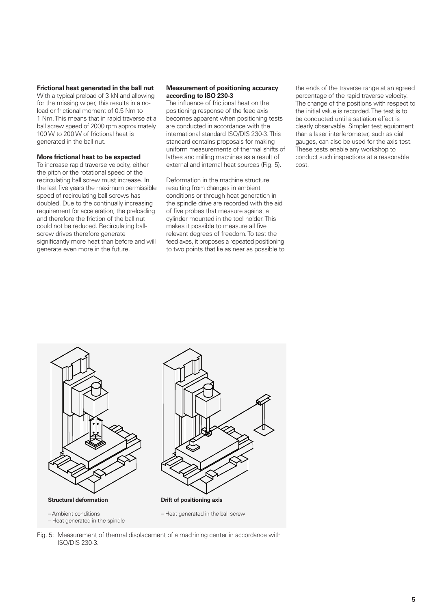### **Frictional heat generated in the ball nut**

With a typical preload of 3 kN and allowing for the missing wiper, this results in a noload or frictional moment of 0.5 Nm to 1 Nm. This means that in rapid traverse at a ball screw speed of 2000 rpm approximately 100W to 200W of frictional heat is generated in the ball nut.

#### **More frictional heat to be expected**

To increase rapid traverse velocity, either the pitch or the rotational speed of the recirculating ball screw must increase. In the last five years the maximum permissible speed of recirculating ball screws has doubled. Due to the continually increasing requirement for acceleration, the preloading and therefore the friction of the ball nut could not be reduced. Recirculating ballscrew drives therefore generate significantly more heat than before and will generate even more in the future.

#### **Measurement of positioning accuracy according to ISO 230-3**

The influence of frictional heat on the positioning response of the feed axis becomes apparent when positioning tests are conducted in accordance with the international standard ISO/DIS 230-3. This standard contains proposals for making uniform measurements of thermal shifts of lathes and milling machines as a result of external and internal heat sources (Fig. 5).

Deformation in the machine structure resulting from changes in ambient conditions or through heat generation in the spindle drive are recorded with the aid of five probes that measure against a cylinder mounted in the tool holder. This makes it possible to measure all five relevant degrees of freedom. To test the feed axes, it proposes a repeated positioning to two points that lie as near as possible to the ends of the traverse range at an agreed percentage of the rapid traverse velocity. The change of the positions with respect to the initial value is recorded. The test is to be conducted until a satiation effect is clearly observable. Simpler test equipment than a laser interferometer, such as dial gauges, can also be used for the axis test. These tests enable any workshop to conduct such inspections at a reasonable cost.



– Heat generated in the spindle

– Heat generated in the ball screw

Fig. 5: Measurement of thermal displacement of a machining center in accordance with ISO/DIS 230-3.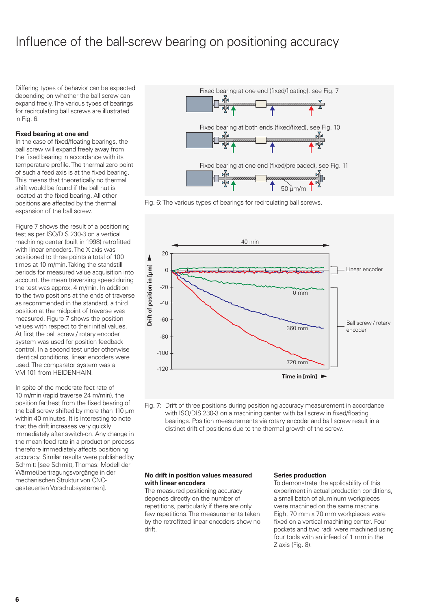### Influence of the ball-screw bearing on positioning accuracy

Differing types of behavior can be expected depending on whether the ball screw can expand freely. The various types of bearings for recirculating ball screws are illustrated in Fig. 6.

### **Fixed bearing at one end**

In the case of fixed/floating bearings, the ball screw will expand freely away from the fixed bearing in accordance with its temperature profile. The thermal zero point of such a feed axis is at the fixed bearing. This means that theoretically no thermal shift would be found if the ball nut is located at the fixed bearing. All other positions are affected by the thermal expansion of the ball screw.

Figure 7 shows the result of a positioning test as per ISO/DIS 230-3 on a vertical machining center (built in 1998) retrofitted with linear encoders. The X axis was positioned to three points a total of 100 times at 10 m/min. Taking the standstill periods for measured value acquisition into account, the mean traversing speed during the test was approx. 4 m/min. In addition to the two positions at the ends of traverse as recommended in the standard, a third position at the midpoint of traverse was measured. Figure 7 shows the position values with respect to their initial values. At first the ball screw / rotary encoder system was used for position feedback control. In a second test under otherwise identical conditions, linear encoders were used. The comparator system was a VM 101 from HEIDENHAIN.

In spite of the moderate feet rate of 10 m/min (rapid traverse 24 m/min), the position farthest from the fixed bearing of the ball screw shifted by more than 110 µm within 40 minutes. It is interesting to note that the drift increases very quickly immediately after switch-on. Any change in the mean feed rate in a production process therefore immediately affects positioning accuracy. Similar results were published by Schmitt [see Schmitt, Thomas: Modell der Wärmeübertragungsvorgänge in der mechanischen Struktur von CNCgesteuerten Vorschubsystemen].







Fig. 7: Drift of three positions during positioning accuracy measurement in accordance with ISO/DIS 230-3 on a machining center with ball screw in fixed/floating bearings. Position measurements via rotary encoder and ball screw result in a distinct drift of positions due to the thermal growth of the screw.

### **No drift in position values measured with linear encoders**

The measured positioning accuracy depends directly on the number of repetitions, particularly if there are only few repetitions. The measurements taken by the retrofitted linear encoders show no drift.

### **Series production**

To demonstrate the applicability of this experiment in actual production conditions, a small batch of aluminum workpieces were machined on the same machine. Eight 70 mm x 70 mm workpieces were fixed on a vertical machining center. Four pockets and two radii were machined using four tools with an infeed of 1 mm in the Z axis (Fig. 8).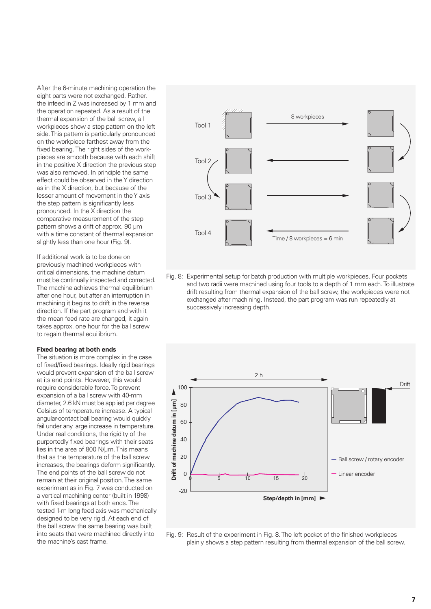After the 6-minute machining operation the eight parts were not exchanged. Rather, the infeed in Z was increased by 1 mm and the operation repeated. As a result of the thermal expansion of the ball screw, all workpieces show a step pattern on the left side. This pattern is particularly pronounced on the workpiece farthest away from the fixed bearing. The right sides of the workpieces are smooth because with each shift in the positive X direction the previous step was also removed. In principle the same effect could be observed in the Y direction as in the X direction, but because of the lesser amount of movement in the Y axis the step pattern is significantly less pronounced. In the X direction the comparative measurement of the step pattern shows a drift of approx. 90 µm with a time constant of thermal expansion slightly less than one hour (Fig. 9).

If additional work is to be done on previously machined workpieces with critical dimensions, the machine datum must be continually inspected and corrected. The machine achieves thermal equilibrium after one hour, but after an interruption in machining it begins to drift in the reverse direction. If the part program and with it the mean feed rate are changed, it again takes approx. one hour for the ball screw to regain thermal equilibrium.

#### **Fixed bearing at both ends**

The situation is more complex in the case of fixed/fixed bearings. Ideally rigid bearings would prevent expansion of the ball screw at its end points. However, this would require considerable force. To prevent expansion of a ball screw with 40-mm diameter, 2.6 kN must be applied per degree Celsius of temperature increase. A typical angular-contact ball bearing would quickly fail under any large increase in temperature. Under real conditions, the rigidity of the purportedly fixed bearings with their seats lies in the area of 800 N/µm. This means that as the temperature of the ball screw increases, the bearings deform significantly. The end points of the ball screw do not remain at their original position. The same experiment as in Fig. 7 was conducted on a vertical machining center (built in 1998) with fixed bearings at both ends. The tested 1-m long feed axis was mechanically designed to be very rigid. At each end of the ball screw the same bearing was built into seats that were machined directly into the machine's cast frame.



Fig. 8: Experimental setup for batch production with multiple workpieces. Four pockets and two radii were machined using four tools to a depth of 1 mm each. To illustrate drift resulting from thermal expansion of the ball screw, the workpieces were not exchanged after machining. Instead, the part program was run repeatedly at successively increasing depth.



Fig. 9: Result of the experiment in Fig. 8. The left pocket of the finished workpieces plainly shows a step pattern resulting from thermal expansion of the ball screw.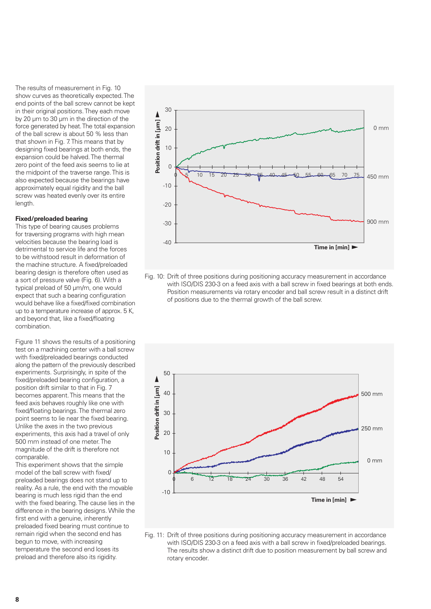The results of measurement in Fig. 10 show curves as theoretically expected. The end points of the ball screw cannot be kept in their original positions. They each move by 20 µm to 30 µm in the direction of the force generated by heat. The total expansion of the ball screw is about 50 % less than that shown in Fig. 7. This means that by designing fixed bearings at both ends, the expansion could be halved. The thermal zero point of the feed axis seems to lie at the midpoint of the traverse range. This is also expected because the bearings have approximately equal rigidity and the ball screw was heated evenly over its entire length.

### **Fixed/preloaded bearing**

This type of bearing causes problems for traversing programs with high mean velocities because the bearing load is detrimental to service life and the forces to be withstood result in deformation of the machine structure. A fixed/preloaded bearing design is therefore often used as a sort of pressure valve (Fig. 6). With a typical preload of 50 µm/m, one would expect that such a bearing configuration would behave like a fixed/fixed combination up to a temperature increase of approx. 5 K, and beyond that, like a fixed/floating combination.

Figure 11 shows the results of a positioning test on a machining center with a ball screw with fixed/preloaded bearings conducted along the pattern of the previously described experiments. Surprisingly, in spite of the fixed/preloaded bearing configuration, a position drift similar to that in Fig. 7 becomes apparent. This means that the feed axis behaves roughly like one with fixed/floating bearings. The thermal zero point seems to lie near the fixed bearing. Unlike the axes in the two previous experiments, this axis had a travel of only 500 mm instead of one meter. The magnitude of the drift is therefore not comparable.

This experiment shows that the simple model of the ball screw with fixed/ preloaded bearings does not stand up to reality. As a rule, the end with the movable bearing is much less rigid than the end with the fixed bearing. The cause lies in the difference in the bearing designs. While the first end with a genuine, inherently preloaded fixed bearing must continue to remain rigid when the second end has begun to move, with increasing temperature the second end loses its preload and therefore also its rigidity.



Fig. 10: Drift of three positions during positioning accuracy measurement in accordance with ISO/DIS 230-3 on a feed axis with a ball screw in fixed bearings at both ends. Position measurements via rotary encoder and ball screw result in a distinct drift of positions due to the thermal growth of the ball screw.



Fig. 11: Drift of three positions during positioning accuracy measurement in accordance with ISO/DIS 230-3 on a feed axis with a ball screw in fixed/preloaded bearings. The results show a distinct drift due to position measurement by ball screw and rotary encoder.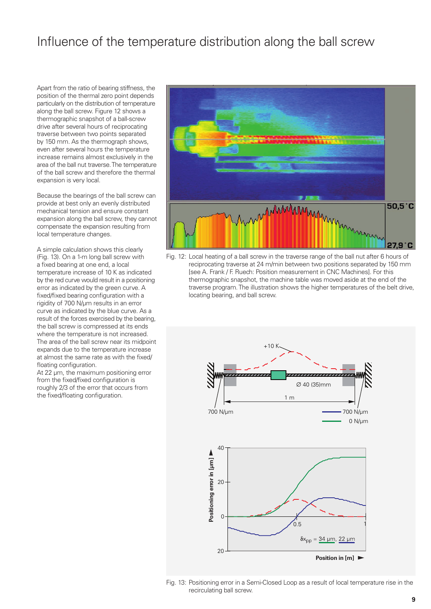### Influence of the temperature distribution along the ball screw

Apart from the ratio of bearing stiffness, the position of the thermal zero point depends particularly on the distribution of temperature along the ball screw. Figure 12 shows a thermographic snapshot of a ball-screw drive after several hours of reciprocating traverse between two points separated by 150 mm. As the thermograph shows, even after several hours the temperature increase remains almost exclusively in the area of the ball nut traverse. The temperature of the ball screw and therefore the thermal expansion is very local.

Because the bearings of the ball screw can provide at best only an evenly distributed mechanical tension and ensure constant expansion along the ball screw, they cannot compensate the expansion resulting from local temperature changes.

A simple calculation shows this clearly (Fig. 13). On a 1-m long ball screw with a fixed bearing at one end, a local temperature increase of 10 K as indicated by the red curve would result in a positioning error as indicated by the green curve. A fixed/fixed bearing configuration with a rigidity of 700 N/µm results in an error curve as indicated by the blue curve. As a result of the forces exercised by the bearing, the ball screw is compressed at its ends where the temperature is not increased. The area of the ball screw near its midpoint expands due to the temperature increase at almost the same rate as with the fixed/ floating configuration.

At 22  $\mu$ m, the maximum positioning error from the fixed/fixed configuration is roughly 2/3 of the error that occurs from the fixed/floating configuration.



Fig. 12: Local heating of a ball screw in the traverse range of the ball nut after 6 hours of reciprocating traverse at 24 m/min between two positions separated by 150 mm [see A. Frank / F. Ruech: Position measurement in CNC Machines]. For this thermographic snapshot, the machine table was moved aside at the end of the traverse program. The illustration shows the higher temperatures of the belt drive, locating bearing, and ball screw.



Fig. 13: Positioning error in a Semi-Closed Loop as a result of local temperature rise in the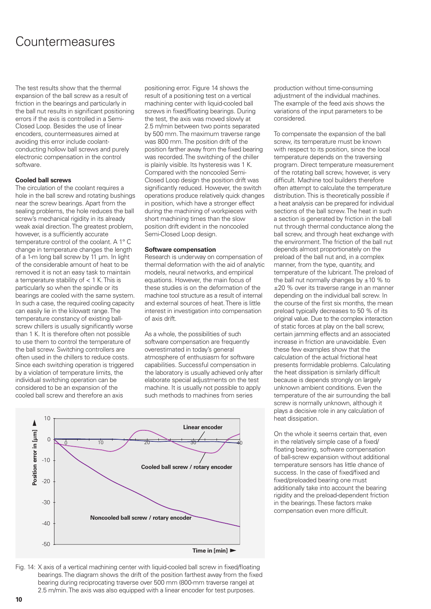### Countermeasures

The test results show that the thermal expansion of the ball screw as a result of friction in the bearings and particularly in the ball nut results in significant positioning errors if the axis is controlled in a Semi-Closed Loop. Besides the use of linear encoders, countermeasures aimed at avoiding this error include coolantconducting hollow ball screws and purely electronic compensation in the control software.

### **Cooled ball screws**

The circulation of the coolant requires a hole in the ball screw and rotating bushings near the screw bearings. Apart from the sealing problems, the hole reduces the ball screw's mechanical rigidity in its already weak axial direction. The greatest problem, however, is a sufficiently accurate temperature control of the coolant. A 1° C change in temperature changes the length of a 1-m long ball screw by 11 µm. In light of the considerable amount of heat to be removed it is not an easy task to maintain a temperature stability of < 1 K. This is particularly so when the spindle or its bearings are cooled with the same system. In such a case, the required cooling capacity can easily lie in the kilowatt range. The temperature constancy of existing ballscrew chillers is usually significantly worse than 1 K. It is therefore often not possible to use them to control the temperature of the ball screw. Switching controllers are often used in the chillers to reduce costs. Since each switching operation is triggered by a violation of temperature limits, the individual switching operation can be considered to be an expansion of the cooled ball screw and therefore an axis

positioning error. Figure 14 shows the result of a positioning test on a vertical machining center with liquid-cooled ball screws in fixed/floating bearings. During the test, the axis was moved slowly at 2.5 m/min between two points separated by 500 mm. The maximum traverse range was 800 mm. The position drift of the position farther away from the fixed bearing was recorded. The switching of the chiller is plainly visible. Its hysteresis was 1 K. Compared with the noncooled Semi-Closed Loop design the position drift was significantly reduced. However, the switch operations produce relatively quick changes in position, which have a stronger effect during the machining of workpieces with short machining times than the slow position drift evident in the noncooled Semi-Closed Loop design.

#### **Software compensation**

Research is underway on compensation of thermal deformation with the aid of analytic models, neural networks, and empirical equations. However, the main focus of these studies is on the deformation of the machine tool structure as a result of internal and external sources of heat. There is little interest in investigation into compensation of axis drift.

As a whole, the possibilities of such software compensation are frequently overestimated in today's general atmosphere of enthusiasm for software capabilities. Successful compensation in the laboratory is usually achieved only after elaborate special adjustments on the test machine. It is usually not possible to apply such methods to machines from series



Fig. 14: X axis of a vertical machining center with liquid-cooled ball screw in fixed/floating bearings. The diagram shows the drift of the position farthest away from the fixed bearing during reciprocating traverse over 500 mm (800-mm traverse range) at 2.5 m/min. The axis was also equipped with a linear encoder for test purposes.

production without time-consuming adjustment of the individual machines. The example of the feed axis shows the variations of the input parameters to be considered.

To compensate the expansion of the ball screw, its temperature must be known with respect to its position, since the local temperature depends on the traversing program. Direct temperature measurement of the rotating ball screw, however, is very difficult. Machine tool builders therefore often attempt to calculate the temperature distribution. This is theoretically possible if a heat analysis can be prepared for individual sections of the ball screw. The heat in such a section is generated by friction in the ball nut through thermal conductance along the ball screw, and through heat exchange with the environment. The friction of the ball nut depends almost proportionately on the preload of the ball nut and, in a complex manner, from the type, quantity, and temperature of the lubricant. The preload of the ball nut normally changes by  $\pm 10$  % to ±20 % over its traverse range in an manner depending on the individual ball screw. In the course of the first six months, the mean preload typically decreases to 50 % of its original value. Due to the complex interaction of static forces at play on the ball screw, certain jamming effects and an associated increase in friction are unavoidable. Even these few examples show that the calculation of the actual frictional heat presents formidable problems. Calculating the heat dissipation is similarly difficult because is depends strongly on largely unknown ambient conditions. Even the temperature of the air surrounding the ball screw is normally unknown, although it plays a decisive role in any calculation of heat dissipation.

On the whole it seems certain that, even in the relatively simple case of a fixed/ floating bearing, software compensation of ball-screw expansion without additional temperature sensors has little chance of success. In the case of fixed/fixed and fixed/preloaded bearing one must additionally take into account the bearing rigidity and the preload-dependent friction in the bearings. These factors make compensation even more difficult.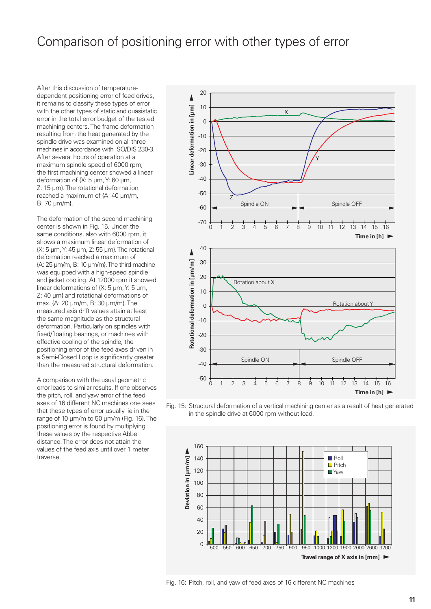### Comparison of positioning error with other types of error

After this discussion of temperaturedependent positioning error of feed drives, it remains to classify these types of error with the other types of static and quasistatic error in the total error budget of the tested machining centers. The frame deformation resulting from the heat generated by the spindle drive was examined on all three machines in accordance with ISO/DIS 230-3. After several hours of operation at a maximum spindle speed of 6000 rpm, the first machining center showed a linear deformation of {X: 5 µm, Y: 60 µm, Z: 15 µm}. The rotational deformation reached a maximum of {A: 40 µm/m, B: 70 µm/m}.

The deformation of the second machining center is shown in Fig. 15. Under the same conditions, also with 6000 rpm, it shows a maximum linear deformation of {X: 5 µm, Y: 45 µm, Z: 55 µm}. The rotational deformation reached a maximum of {A: 25 µm/m, B: 10 µm/m}. The third machine was equipped with a high-speed spindle and jacket cooling. At 12000 rpm it showed linear deformations of {X: 5 µm, Y: 5 µm, Z: 40 µm} and rotational deformations of max. {A: 20 µm/m, B: 30 µm/m}. The measured axis drift values attain at least the same magnitude as the structural deformation. Particularly on spindles with fixed/floating bearings, or machines with effective cooling of the spindle, the positioning error of the feed axes driven in a Semi-Closed Loop is significantly greater than the measured structural deformation.

A comparison with the usual geometric error leads to similar results. If one observes the pitch, roll, and yaw error of the feed axes of 16 different NC machines one sees that these types of error usually lie in the range of 10 µm/m to 50 µm/m (Fig. 16). The positioning error is found by multiplying these values by the respective Abbe distance. The error does not attain the values of the feed axis until over 1 meter traverse.



Fig. 15: Structural deformation of a vertical machining center as a result of heat generated in the spindle drive at 6000 rpm without load.



Fig. 16: Pitch, roll, and yaw of feed axes of 16 different NC machines